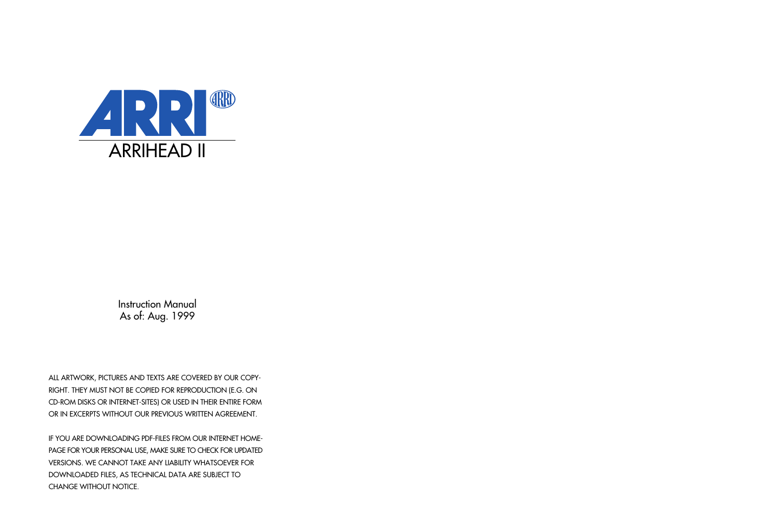

Instruction Manual As of: Aug. 1999

ALL ARTWORK, PICTURES AND TEXTS ARE COVERED BY OUR COPY-RIGHT. THEY MUST NOT BE COPIED FOR REPRODUCTION (E.G. ON CD-ROM DISKS OR INTERNET-SITES) OR USED IN THEIR ENTIRE FORM OR IN EXCERPTS WITHOUT OUR PREVIOUS WRITTEN AGREEMENT.

IF YOU ARE DOWNLOADING PDF-FILES FROM OUR INTERNET HOME-PAGE FOR YOUR PERSONAL USE, MAKE SURE TO CHECK FOR UPDATED VERSIONS. WE CANNOT TAKE ANY LIABILITY WHATSOEVER FOR DOWNLOADED FILES, AS TECHNICAL DATA ARE SUBJECT TO CHANGE WITHOUT NOTICE.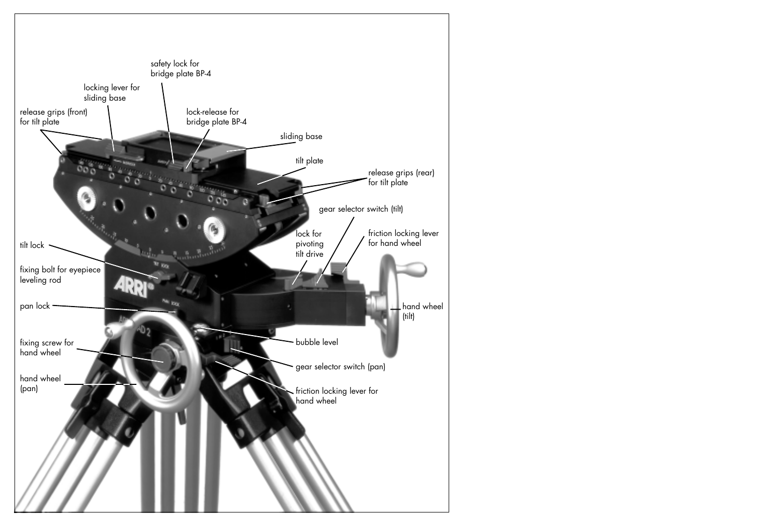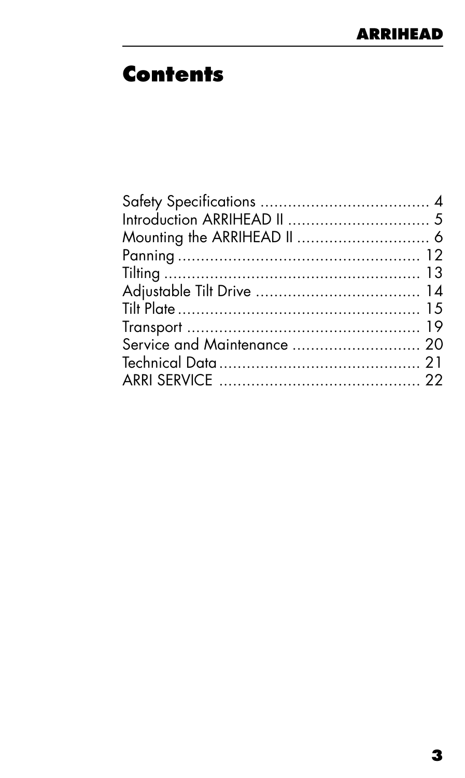### **Contents**

| Service and Maintenance  20 |  |
|-----------------------------|--|
|                             |  |
|                             |  |
|                             |  |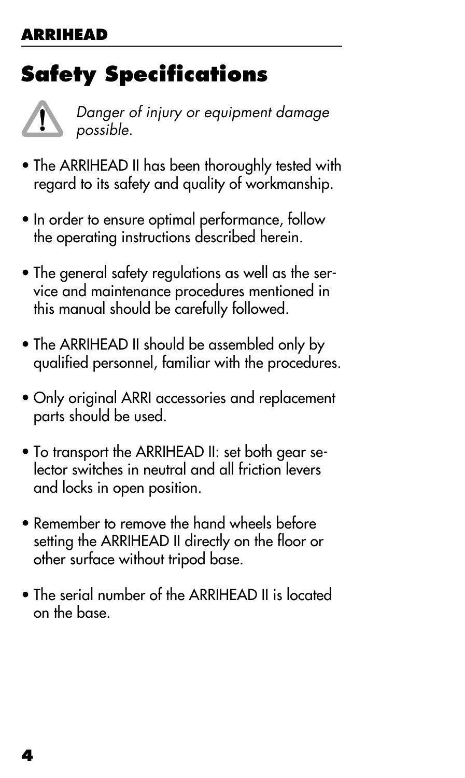## <span id="page-3-0"></span>**Safety Specifications**



Danger of injury or equipment damage possible.

- The ARRIHEAD II has been thoroughly tested with regard to its safety and quality of workmanship.
- In order to ensure optimal performance, follow the operating instructions described herein.
- The general safety regulations as well as the service and maintenance procedures mentioned in this manual should be carefully followed.
- The ARRIHEAD II should be assembled only by qualified personnel, familiar with the procedures.
- Only original ARRI accessories and replacement parts should be used.
- To transport the ARRIHEAD II: set both gear selector switches in neutral and all friction levers and locks in open position.
- Remember to remove the hand wheels before setting the ARRIHEAD II directly on the floor or other surface without tripod base.
- The serial number of the ARRIHEAD II is located on the base.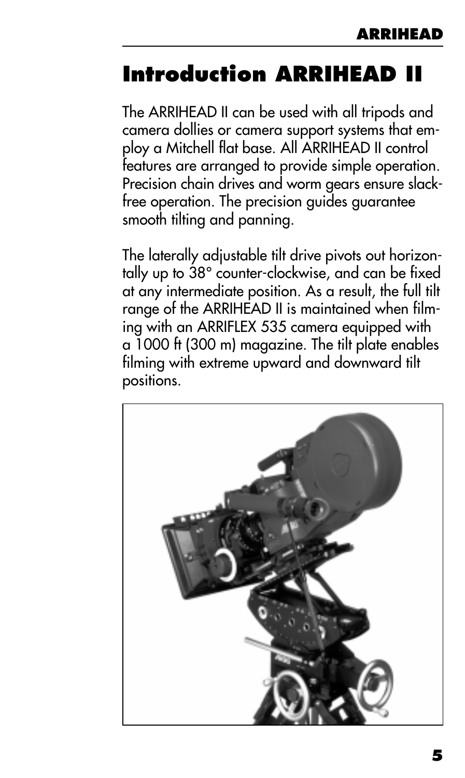## <span id="page-4-0"></span>**Introduction ARRIHEAD II**

The ARRIHEAD II can be used with all tripods and camera dollies or camera support systems that employ a Mitchell flat base. All ARRIHEAD II control features are arranged to provide simple operation. Precision chain drives and worm gears ensure slackfree operation. The precision guides guarantee smooth tilting and panning.

The laterally adjustable tilt drive pivots out horizontally up to 38° counter-clockwise, and can be fixed at any intermediate position. As a result, the full tilt range of the ARRIHEAD II is maintained when filming with an ARRIFLEX 535 camera equipped with a 1000 ft (300 m) magazine. The tilt plate enables filming with extreme upward and downward tilt positions.

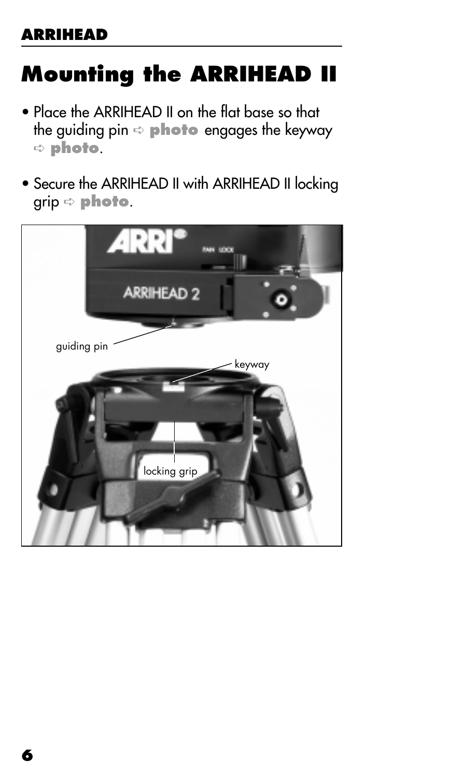## <span id="page-5-0"></span>**Mounting the ARRIHEAD II**

- Place the ARRIHEAD II on the flat base so that the guiding pin ➪ **photo** engages the keyway ➪ **photo**.
- Secure the ARRIHEAD II with ARRIHEAD II locking grip ➪ **photo**.

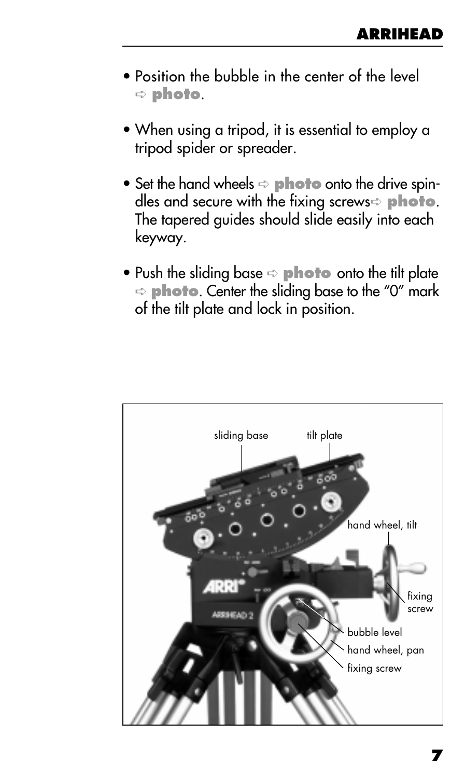- Position the bubble in the center of the level ➪ **photo**.
- When using a tripod, it is essential to employ a tripod spider or spreader.
- Set the hand wheels  $\Rightarrow$  **photo** onto the drive spindles and secure with the fixing screws➪ **photo**. The tapered guides should slide easily into each keyway.
- Push the sliding base  $\Rightarrow$  **photo** onto the tilt plate ➪ **photo**. Center the sliding base to the "0" mark of the tilt plate and lock in position.

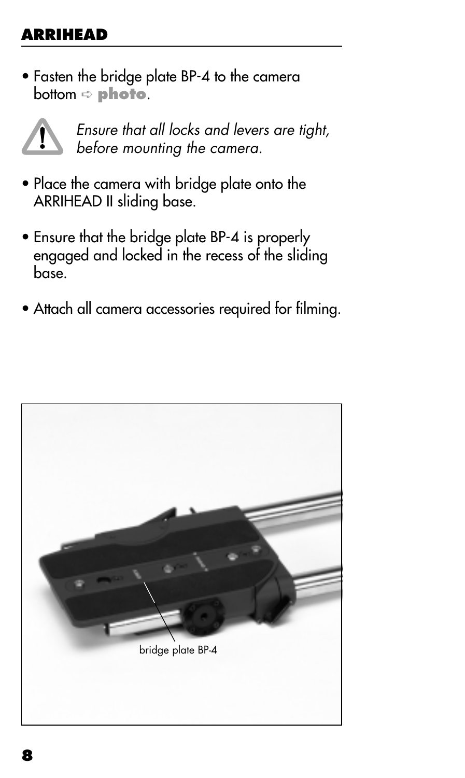• Fasten the bridge plate BP-4 to the camera bottom ➪ **photo**.



Ensure that all locks and levers are tight, before mounting the camera.

- Place the camera with bridge plate onto the ARRIHEAD II sliding base.
- Ensure that the bridge plate BP-4 is properly engaged and locked in the recess of the sliding base.
- Attach all camera accessories required for filming.

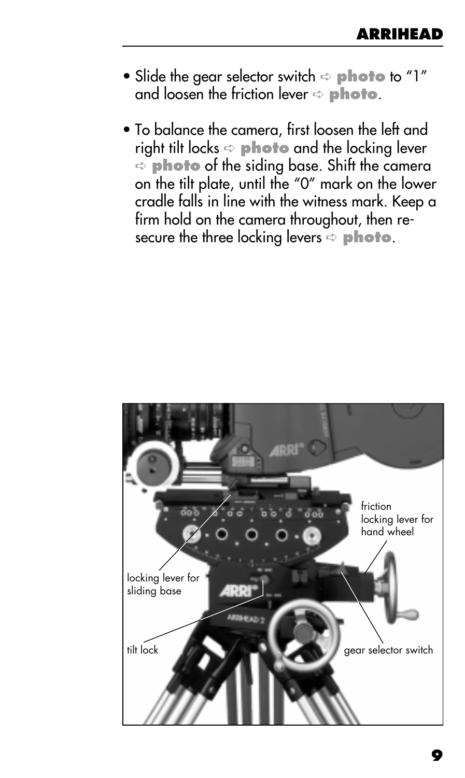- Slide the gear selector switch  $\Rightarrow$  **photo** to "1" and loosen the friction lever  $\Rightarrow$  **photo**.
- To balance the camera, first loosen the left and right tilt locks ➪ **photo** and the locking lever ➪ **photo** of the siding base. Shift the camera on the tilt plate, until the "0" mark on the lower cradle falls in line with the witness mark. Keep a firm hold on the camera throughout, then resecure the three locking levers  $\Rightarrow$  **photo**.

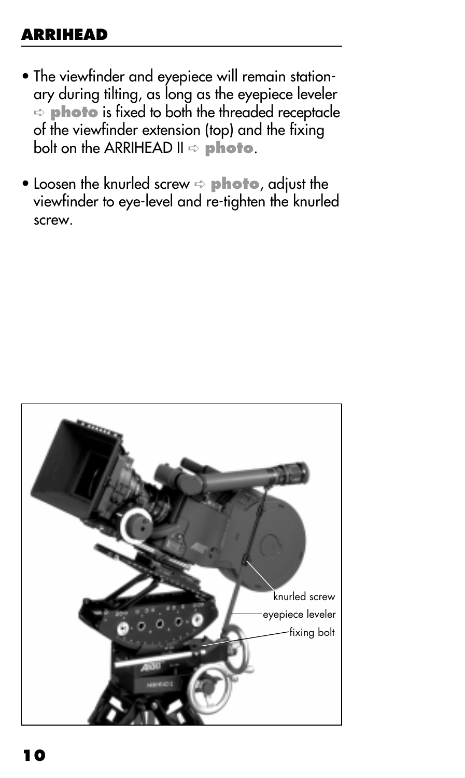- The viewfinder and eyepiece will remain stationary during tilting, as long as the eyepiece leveler  $\Rightarrow$  **photo** is fixed to both the threaded receptacle of the viewfinder extension (top) and the fixing bolt on the ARRIHEAD II ➪ **photo**.
- Loosen the knurled screw ➪ **photo**, adjust the viewfinder to eye-level and re-tighten the knurled screw.

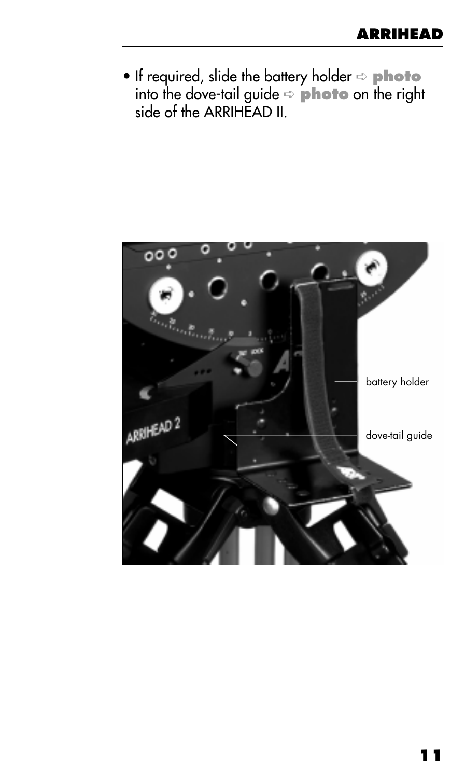• If required, slide the battery holder ➪ **photo** into the dove-tail guide ➪ **photo** on the right side of the ARRIHEAD II.

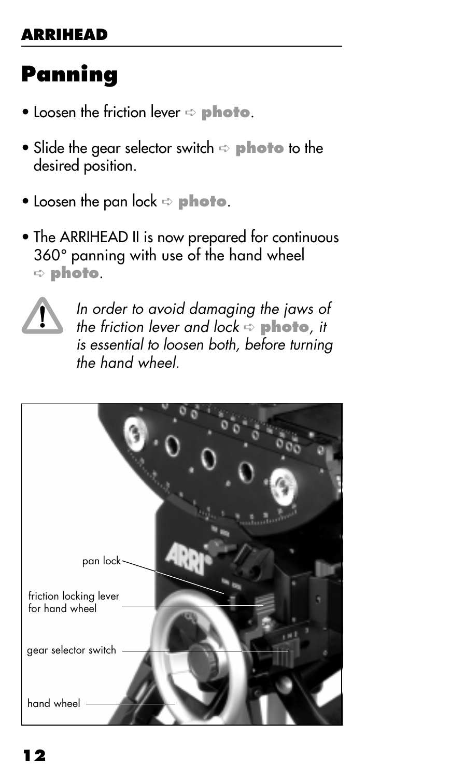### <span id="page-11-0"></span>**Panning**

- Loosen the friction lever  $\Rightarrow$  **photo**.
- Slide the gear selector switch ➪ **photo** to the desired position.
- Loosen the pan lock ➪ **photo**.
- The ARRIHEAD II is now prepared for continuous 360° panning with use of the hand wheel ➪ **photo**.



In order to avoid damaging the jaws of the friction lever and lock ➪ **photo**, it is essential to loosen both, before turning the hand wheel.

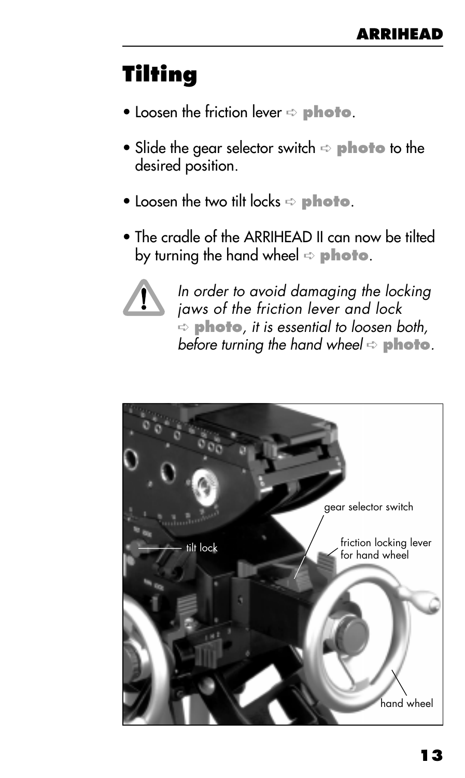## <span id="page-12-0"></span>**Tilting**

- Loosen the friction lever ➪ **photo**.
- Slide the gear selector switch ➪ **photo** to the desired position.
- Loosen the two tilt locks  $\Rightarrow$  **photo**.
- The cradle of the ARRIHEAD II can now be tilted by turning the hand wheel ➪ **photo**.



In order to avoid damaging the locking jaws of the friction lever and lock ➪ **photo**, it is essential to loosen both, before turning the hand wheel  $\Rightarrow$  **photo**.

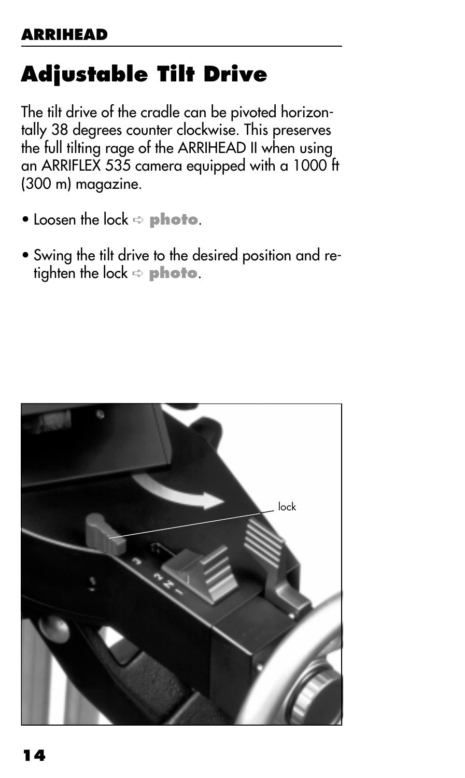# <span id="page-13-0"></span>**Adjustable Tilt Drive**

The tilt drive of the cradle can be pivoted horizontally 38 degrees counter clockwise. This preserves the full tilting rage of the ARRIHEAD II when using an ARRIFLEX 535 camera equipped with a 1000 ft (300 m) magazine.

- Loosen the lock ➪ **photo**.
- Swing the tilt drive to the desired position and retighten the lock ➪ **photo**.

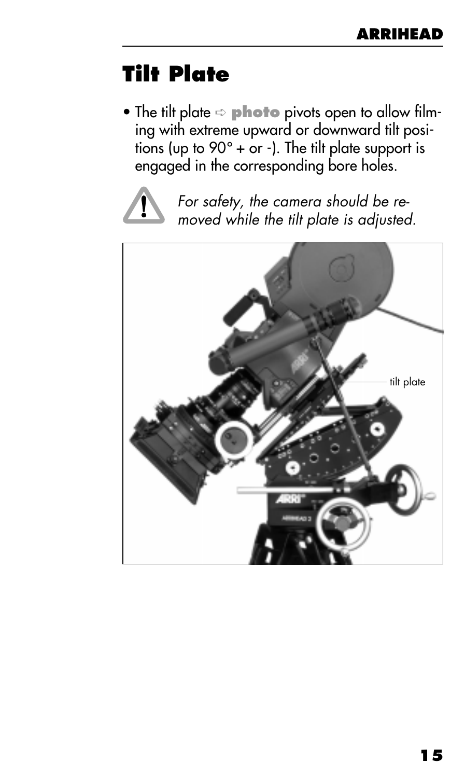### <span id="page-14-0"></span>**Tilt Plate**

• The tilt plate ➪ **photo** pivots open to allow filming with extreme upward or downward tilt positions (up to  $90^\circ$  + or -). The tilt plate support is engaged in the corresponding bore holes.



For safety, the camera should be removed while the tilt plate is adjusted.

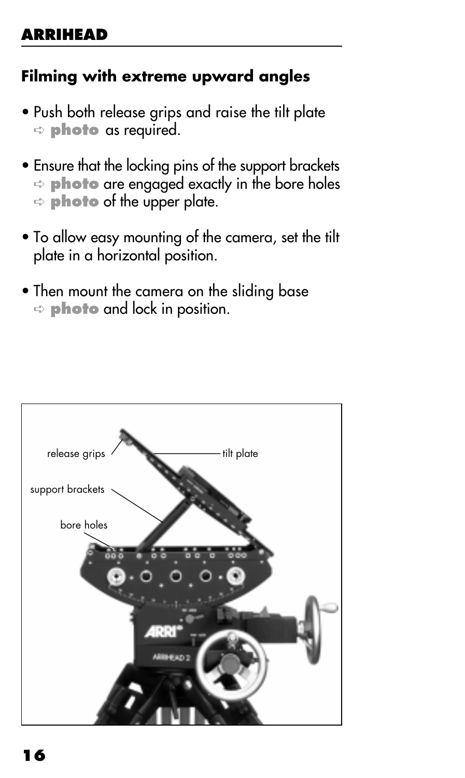#### **Filming with extreme upward angles**

- Push both release grips and raise the tilt plate ➪ **photo** as required.
- Ensure that the locking pins of the support brackets ➪ **photo** are engaged exactly in the bore holes  $\Rightarrow$  **photo** of the upper plate.
- To allow easy mounting of the camera, set the tilt plate in a horizontal position.
- Then mount the camera on the sliding base ➪ **photo** and lock in position.

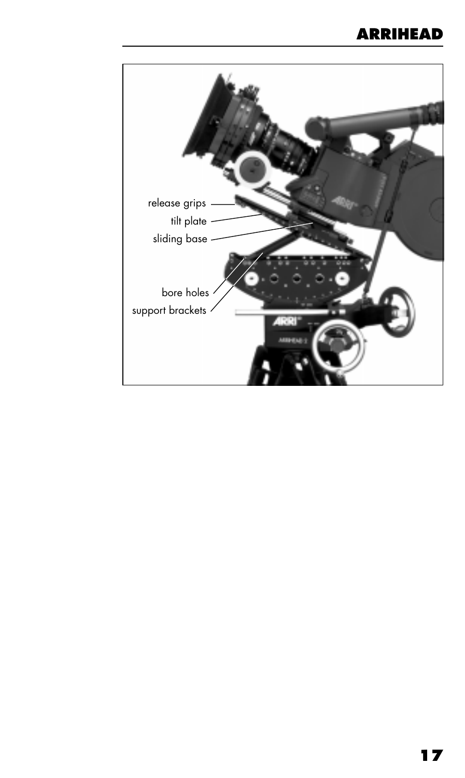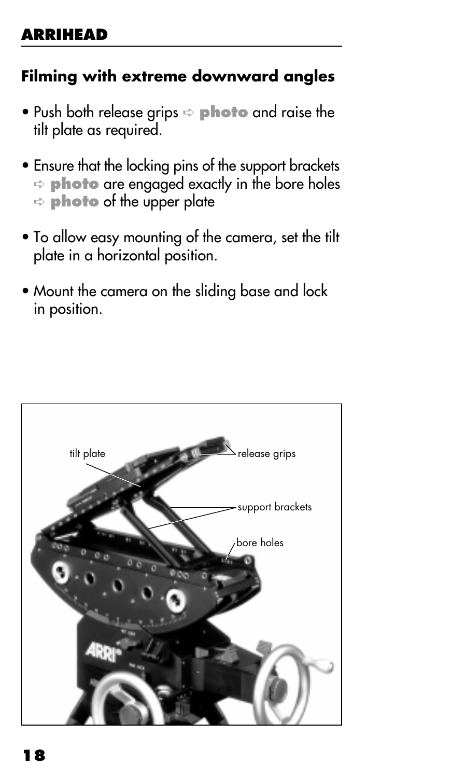#### **Filming with extreme downward angles**

- Push both release grips ➪ **photo** and raise the tilt plate as required.
- Ensure that the locking pins of the support brackets ➪ **photo** are engaged exactly in the bore holes ➪ **photo** of the upper plate
- To allow easy mounting of the camera, set the tilt plate in a horizontal position.
- Mount the camera on the sliding base and lock in position.

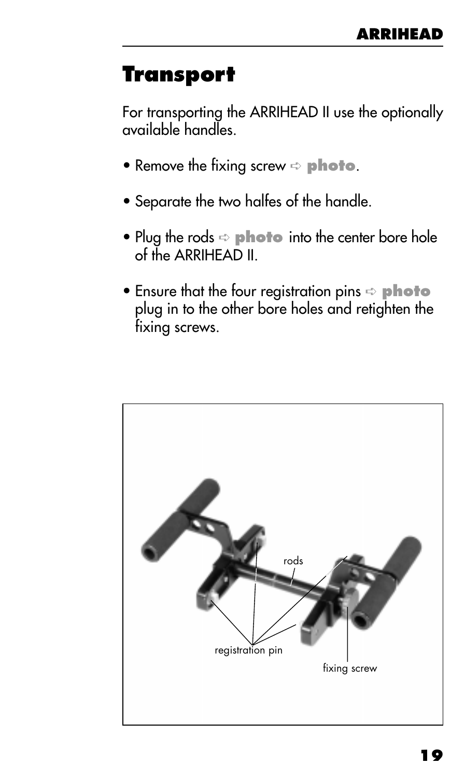#### <span id="page-18-0"></span>**Transport**

For transporting the ARRIHEAD II use the optionally available handles.

- Remove the fixing screw ➪ **photo**.
- Separate the two halfes of the handle.
- Plug the rods ➪ **photo** into the center bore hole of the ARRIHEAD II.
- **•** Ensure that the four registration pins  $\Rightarrow$  **photo** plug in to the other bore holes and retighten the fixing screws.

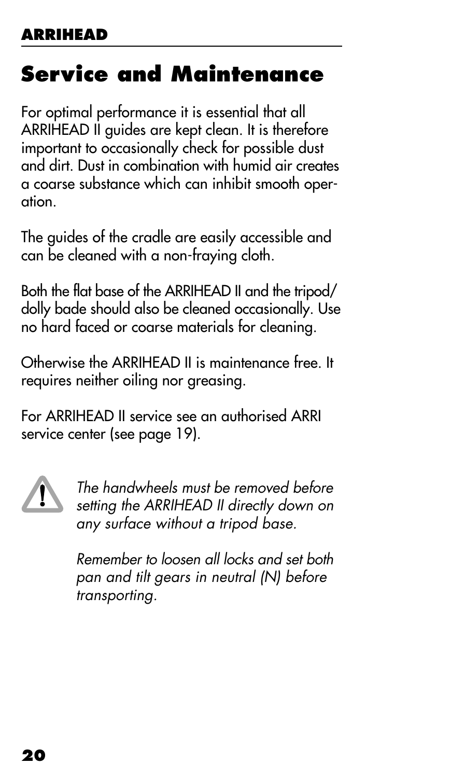### <span id="page-19-0"></span>**Service and Maintenance**

For optimal performance it is essential that all ARRIHEAD II guides are kept clean. It is therefore important to occasionally check for possible dust and dirt. Dust in combination with humid air creates a coarse substance which can inhibit smooth operation.

The guides of the cradle are easily accessible and can be cleaned with a non-fraying cloth.

Both the flat base of the ARRIHEAD II and the tripod/ dolly bade should also be cleaned occasionally. Use no hard faced or coarse materials for cleaning.

Otherwise the ARRIHEAD II is maintenance free. It requires neither oiling nor greasing.

For ARRIHEAD II service see an authorised ARRI service center (see page 19).



The handwheels must be removed before setting the ARRIHEAD II directly down on any surface without a tripod base.

Remember to loosen all locks and set both pan and tilt gears in neutral (N) before transporting.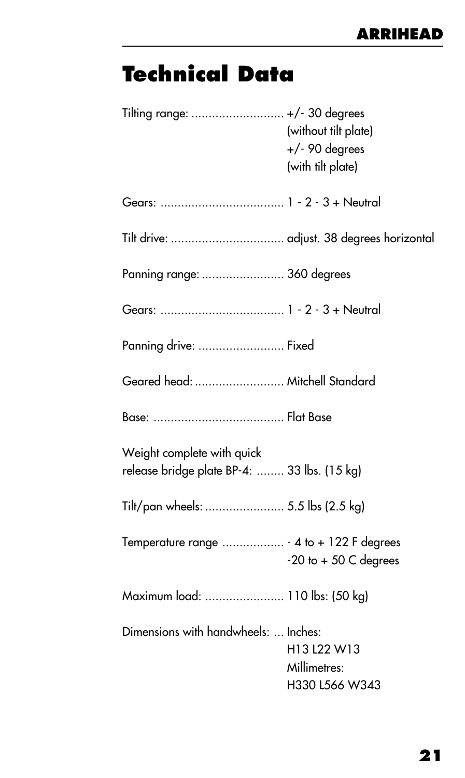## <span id="page-20-0"></span>**Technical Data**

| Tilting range:  +/- 30 degrees                                            | (without tilt plate)<br>$+/-$ 90 degrees<br>(with tilt plate) |
|---------------------------------------------------------------------------|---------------------------------------------------------------|
|                                                                           |                                                               |
| Tilt drive:  adjust. 38 degrees horizontal                                |                                                               |
| Panning range:  360 degrees                                               |                                                               |
|                                                                           |                                                               |
| Panning drive:  Fixed                                                     |                                                               |
| Geared head:  Mitchell Standard                                           |                                                               |
|                                                                           |                                                               |
| Weight complete with quick<br>release bridge plate BP-4:  33 lbs. (15 kg) |                                                               |
| Tilt/pan wheels:  5.5 lbs (2.5 kg)                                        |                                                               |
| Temperature range  - 4 to + 122 F degrees                                 | $-20$ to $+50$ C degrees                                      |
| Maximum load:  110 lbs: (50 kg)                                           |                                                               |
| Dimensions with handwheels:  Inches:                                      | H13 L22 W13<br>Millimetres:<br>H330 L566 W343                 |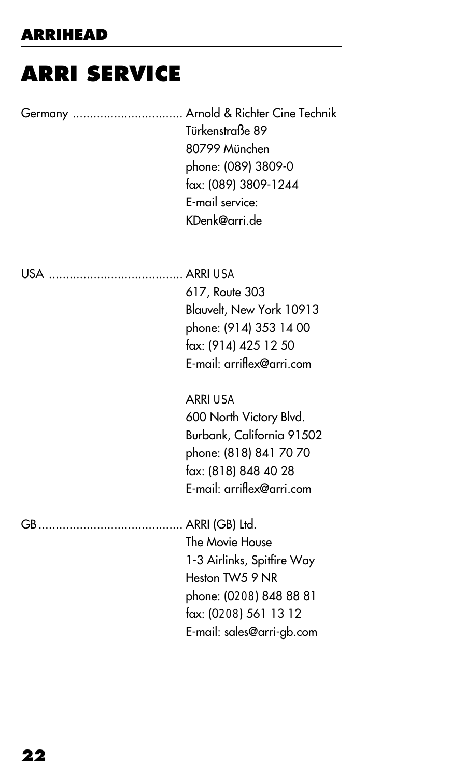## <span id="page-21-0"></span>**ARRI SERVICE**

| Germany  Arnold & Richter Cine Technik<br>Türkenstraße 89<br>80799 München<br>phone: (089) 3809-0<br>fax: (089) 3809-1244<br>E-mail service:<br>KDenk@arri.de |
|---------------------------------------------------------------------------------------------------------------------------------------------------------------|
| 617, Route 303<br>Blauvelt, New York 10913<br>phone: (914) 353 14 00<br>fax: (914) 425 12 50<br>E-mail: arriflex@arri.com                                     |
| ARRI USA<br>600 North Victory Blvd.<br>Burbank, California 91502<br>phone: (818) 841 70 70<br>fax: (818) 848 40 28<br>E-mail: arriflex@arri.com               |
| The Movie House<br>1-3 Airlinks, Spitfire Way<br>Heston TW5 9 NR<br>phone: (0208) 848 88 81<br>fax: (0208) 561 13 12<br>E-mail: sales@arri-gb.com             |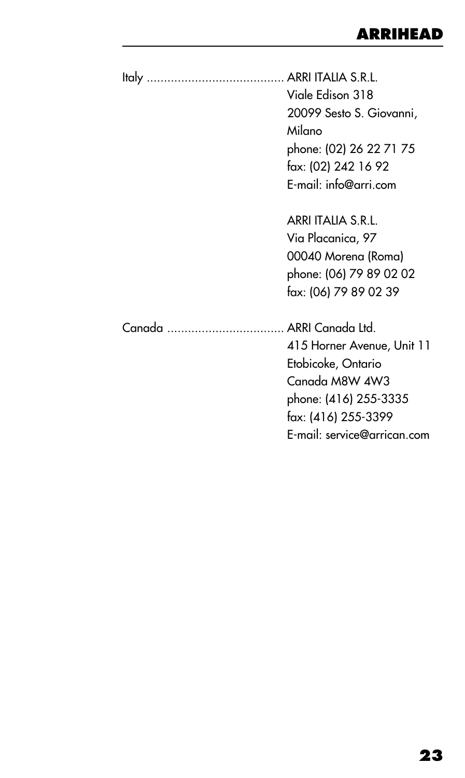| Viale Edison 318<br>20099 Sesto S. Giovanni,<br>Milano<br>phone: (02) 26 22 71 75<br>fax: (02) 242 16 92<br>E-mail: info@arri.com                 |
|---------------------------------------------------------------------------------------------------------------------------------------------------|
| ARRI ITALIA S.R.L.<br>Via Placanica, 97<br>00040 Morena (Roma)<br>phone: (06) 79 89 02 02<br>fax: (06) 79 89 02 39                                |
| 415 Horner Avenue, Unit 11<br>Etobicoke, Ontario<br>Canada M8W 4W3<br>phone: (416) 255-3335<br>fax: (416) 255-3399<br>E-mail: service@arrican.com |